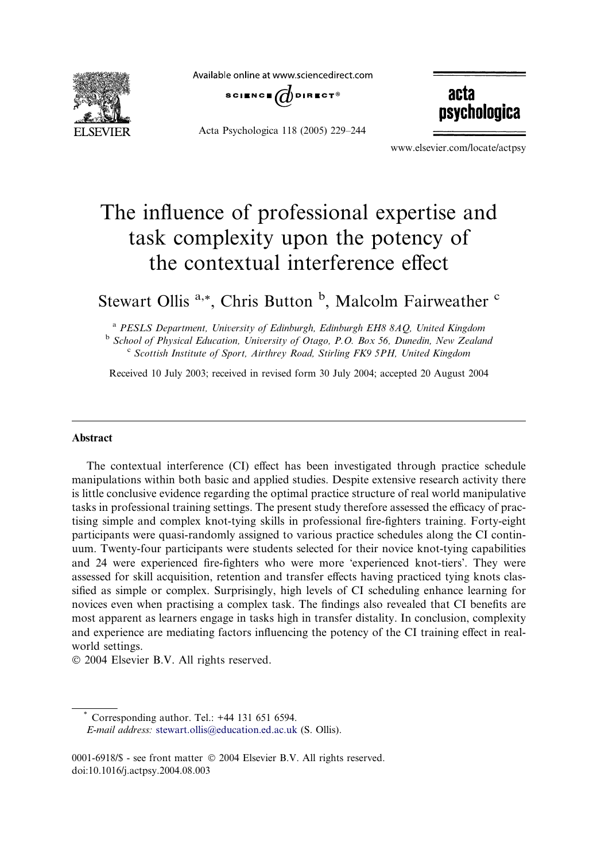

Available online at www.sciencedirect.com



Acta Psychologica 118 (2005) 229–244

acta psychologica

www.elsevier.com/locate/actpsy

# The influence of professional expertise and task complexity upon the potency of the contextual interference effect

# Stewart Ollis<sup>a,\*</sup>, Chris Button<sup>b</sup>, Malcolm Fairweather<sup>c</sup>

<sup>a</sup> PESLS Department, University of Edinburgh, Edinburgh EH8 8AQ, United Kingdom <sup>b</sup> School of Physical Education, University of Otago, P.O. Box 56, Dunedin, New Zealand  $c$  Scottish Institute of Sport, Airthrey Road, Stirling FK9 5PH, United Kingdom

Received 10 July 2003; received in revised form 30 July 2004; accepted 20 August 2004

# **Abstract**

The contextual interference (CI) effect has been investigated through practice schedule manipulations within both basic and applied studies. Despite extensive research activity there is little conclusive evidence regarding the optimal practice structure of real world manipulative tasks in professional training settings. The present study therefore assessed the efficacy of practising simple and complex knot-tying skills in professional fire-fighters training. Forty-eight participants were quasi-randomly assigned to various practice schedules along the CI continuum. Twenty-four participants were students selected for their novice knot-tying capabilities and 24 were experienced fire-fighters who were more 'experienced knot-tiers'. They were assessed for skill acquisition, retention and transfer effects having practiced tying knots classified as simple or complex. Surprisingly, high levels of CI scheduling enhance learning for novices even when practising a complex task. The findings also revealed that CI benefits are most apparent as learners engage in tasks high in transfer distality. In conclusion, complexity and experience are mediating factors influencing the potency of the CI training effect in realworld settings.

2004 Elsevier B.V. All rights reserved.

Corresponding author. Tel.: +44 131 651 6594. E-mail address: [stewart.ollis@education.ed.ac.uk](mailto:stewart.ollis@education.ed.ac.uk ) (S. Ollis).

<sup>0001-6918/\$ -</sup> see front matter © 2004 Elsevier B.V. All rights reserved. doi:10.1016/j.actpsy.2004.08.003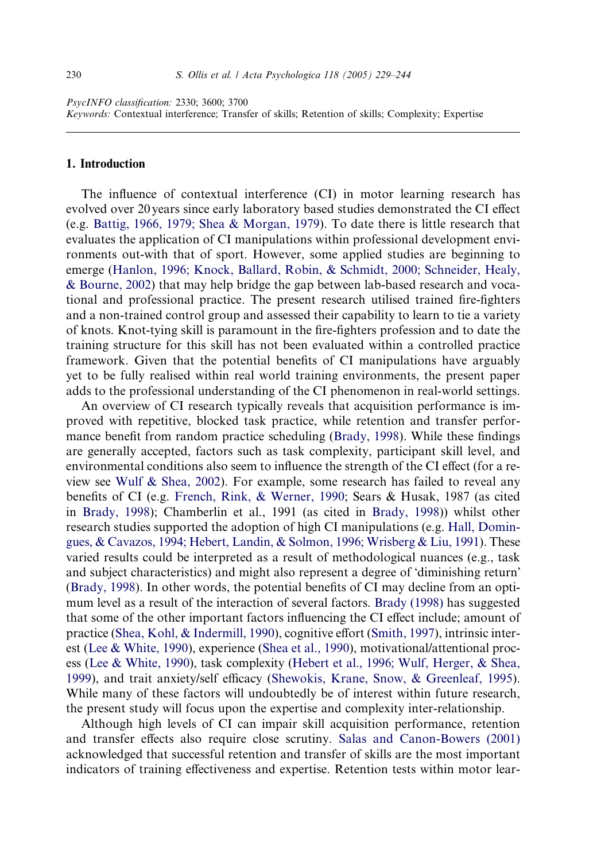# 1. Introduction

The influence of contextual interference (CI) in motor learning research has evolved over 20 years since early laboratory based studies demonstrated the CI effect (e.g. [Battig, 1966, 1979; Shea & Morgan, 1979](#page-13-0)). To date there is little research that evaluates the application of CI manipulations within professional development environments out-with that of sport. However, some applied studies are beginning to emerge ([Hanlon, 1996; Knock, Ballard, Robin, & Schmidt, 2000; Schneider, Healy,](#page-14-0) [& Bourne, 2002](#page-14-0)) that may help bridge the gap between lab-based research and vocational and professional practice. The present research utilised trained fire-fighters and a non-trained control group and assessed their capability to learn to tie a variety of knots. Knot-tying skill is paramount in the fire-fighters profession and to date the training structure for this skill has not been evaluated within a controlled practice framework. Given that the potential benefits of CI manipulations have arguably yet to be fully realised within real world training environments, the present paper adds to the professional understanding of the CI phenomenon in real-world settings.

An overview of CI research typically reveals that acquisition performance is improved with repetitive, blocked task practice, while retention and transfer performance benefit from random practice scheduling [\(Brady, 1998](#page-14-0)). While these findings are generally accepted, factors such as task complexity, participant skill level, and environmental conditions also seem to influence the strength of the CI effect (for a review see [Wulf & Shea, 2002](#page-15-0)). For example, some research has failed to reveal any benefits of CI (e.g. [French, Rink, & Werner, 1990](#page-14-0); Sears & Husak, 1987 (as cited in [Brady, 1998](#page-14-0)); Chamberlin et al., 1991 (as cited in [Brady, 1998](#page-14-0))) whilst other research studies supported the adoption of high CI manipulations (e.g. [Hall, Domin](#page-14-0)[gues, & Cavazos, 1994; Hebert, Landin, & Solmon, 1996; Wrisberg & Liu, 1991\)](#page-14-0). These varied results could be interpreted as a result of methodological nuances (e.g., task and subject characteristics) and might also represent a degree of 'diminishing return' ([Brady, 1998\)](#page-14-0). In other words, the potential benefits of CI may decline from an optimum level as a result of the interaction of several factors. [Brady \(1998\)](#page-14-0) has suggested that some of the other important factors influencing the CI effect include; amount of practice [\(Shea, Kohl, & Indermill, 1990\)](#page-14-0), cognitive effort [\(Smith, 1997](#page-14-0)), intrinsic interest ([Lee & White, 1990\)](#page-14-0), experience [\(Shea et al., 1990\)](#page-14-0), motivational/attentional process [\(Lee & White, 1990\)](#page-14-0), task complexity ([Hebert et al., 1996; Wulf, Herger, & Shea,](#page-14-0) [1999](#page-14-0)), and trait anxiety/self efficacy [\(Shewokis, Krane, Snow, & Greenleaf, 1995\)](#page-14-0). While many of these factors will undoubtedly be of interest within future research, the present study will focus upon the expertise and complexity inter-relationship.

Although high levels of CI can impair skill acquisition performance, retention and transfer effects also require close scrutiny. [Salas and Canon-Bowers \(2001\)](#page-14-0) acknowledged that successful retention and transfer of skills are the most important indicators of training effectiveness and expertise. Retention tests within motor lear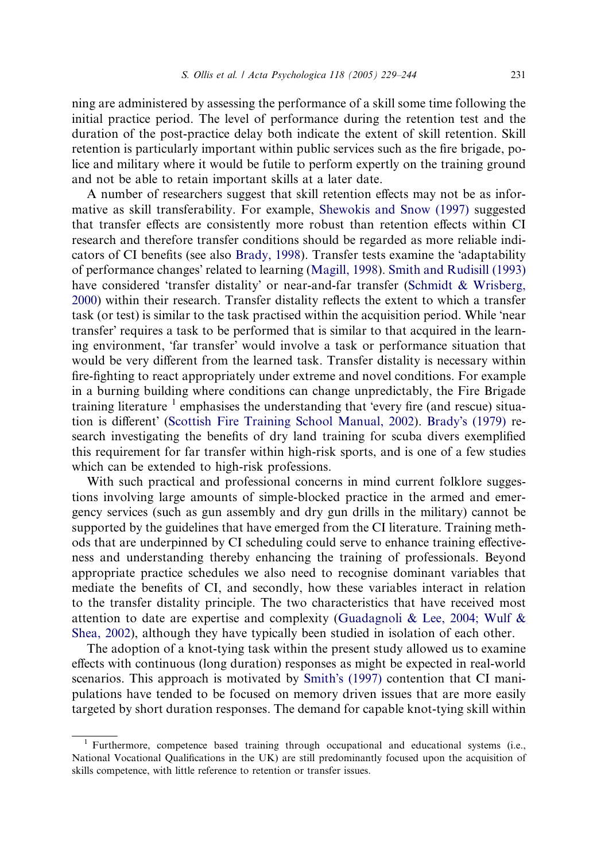ning are administered by assessing the performance of a skill some time following the initial practice period. The level of performance during the retention test and the duration of the post-practice delay both indicate the extent of skill retention. Skill retention is particularly important within public services such as the fire brigade, police and military where it would be futile to perform expertly on the training ground and not be able to retain important skills at a later date.

A number of researchers suggest that skill retention effects may not be as informative as skill transferability. For example, [Shewokis and Snow \(1997\)](#page-14-0) suggested that transfer effects are consistently more robust than retention effects within CI research and therefore transfer conditions should be regarded as more reliable indi-cators of CI benefits (see also [Brady, 1998](#page-14-0)). Transfer tests examine the 'adaptability of performance changes' related to learning [\(Magill, 1998](#page-14-0)). [Smith and Rudisill \(1993\)](#page-14-0) have considered 'transfer distality' or near-and-far transfer [\(Schmidt & Wrisberg,](#page-14-0) [2000\)](#page-14-0) within their research. Transfer distality reflects the extent to which a transfer task (or test) is similar to the task practised within the acquisition period. While 'near transfer' requires a task to be performed that is similar to that acquired in the learning environment, 'far transfer' would involve a task or performance situation that would be very different from the learned task. Transfer distality is necessary within fire-fighting to react appropriately under extreme and novel conditions. For example in a burning building where conditions can change unpredictably, the Fire Brigade training literature  $\frac{1}{1}$  emphasises the understanding that 'every fire (and rescue) situa-tion is different' ([Scottish Fire Training School Manual, 2002](#page-14-0)). Brady'[s \(1979\)](#page-14-0) research investigating the benefits of dry land training for scuba divers exemplified this requirement for far transfer within high-risk sports, and is one of a few studies which can be extended to high-risk professions.

With such practical and professional concerns in mind current folklore suggestions involving large amounts of simple-blocked practice in the armed and emergency services (such as gun assembly and dry gun drills in the military) cannot be supported by the guidelines that have emerged from the CI literature. Training methods that are underpinned by CI scheduling could serve to enhance training effectiveness and understanding thereby enhancing the training of professionals. Beyond appropriate practice schedules we also need to recognise dominant variables that mediate the benefits of CI, and secondly, how these variables interact in relation to the transfer distality principle. The two characteristics that have received most attention to date are expertise and complexity ([Guadagnoli & Lee, 2004; Wulf &](#page-14-0) [Shea, 2002](#page-14-0)), although they have typically been studied in isolation of each other.

The adoption of a knot-tying task within the present study allowed us to examine effects with continuous (long duration) responses as might be expected in real-world scenarios. This approach is motivated by Smith'[s \(1997\)](#page-14-0) contention that CI manipulations have tended to be focused on memory driven issues that are more easily targeted by short duration responses. The demand for capable knot-tying skill within

<sup>&</sup>lt;sup>1</sup> Furthermore, competence based training through occupational and educational systems (i.e., National Vocational Qualifications in the UK) are still predominantly focused upon the acquisition of skills competence, with little reference to retention or transfer issues.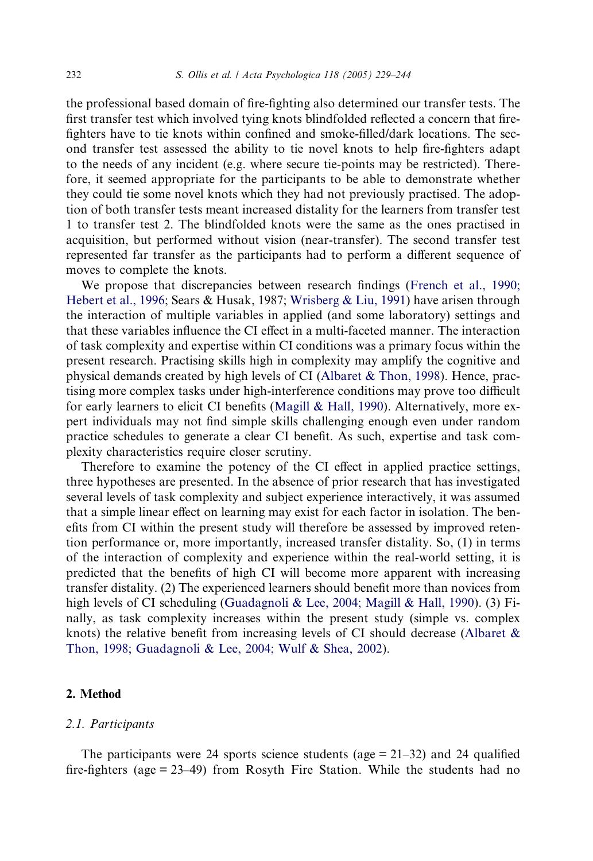the professional based domain of fire-fighting also determined our transfer tests. The first transfer test which involved tying knots blindfolded reflected a concern that firefighters have to tie knots within confined and smoke-filled/dark locations. The second transfer test assessed the ability to tie novel knots to help fire-fighters adapt to the needs of any incident (e.g. where secure tie-points may be restricted). Therefore, it seemed appropriate for the participants to be able to demonstrate whether they could tie some novel knots which they had not previously practised. The adoption of both transfer tests meant increased distality for the learners from transfer test 1 to transfer test 2. The blindfolded knots were the same as the ones practised in acquisition, but performed without vision (near-transfer). The second transfer test represented far transfer as the participants had to perform a different sequence of moves to complete the knots.

We propose that discrepancies between research findings ([French et al., 1990;](#page-14-0) [Hebert et al., 1996](#page-14-0); Sears & Husak, 1987; [Wrisberg & Liu, 1991\)](#page-15-0) have arisen through the interaction of multiple variables in applied (and some laboratory) settings and that these variables influence the CI effect in a multi-faceted manner. The interaction of task complexity and expertise within CI conditions was a primary focus within the present research. Practising skills high in complexity may amplify the cognitive and physical demands created by high levels of CI [\(Albaret & Thon, 1998\)](#page-13-0). Hence, practising more complex tasks under high-interference conditions may prove too difficult for early learners to elicit CI benefits ([Magill & Hall, 1990\)](#page-14-0). Alternatively, more expert individuals may not find simple skills challenging enough even under random practice schedules to generate a clear CI benefit. As such, expertise and task complexity characteristics require closer scrutiny.

Therefore to examine the potency of the CI effect in applied practice settings, three hypotheses are presented. In the absence of prior research that has investigated several levels of task complexity and subject experience interactively, it was assumed that a simple linear effect on learning may exist for each factor in isolation. The benefits from CI within the present study will therefore be assessed by improved retention performance or, more importantly, increased transfer distality. So, (1) in terms of the interaction of complexity and experience within the real-world setting, it is predicted that the benefits of high CI will become more apparent with increasing transfer distality. (2) The experienced learners should benefit more than novices from high levels of CI scheduling [\(Guadagnoli & Lee, 2004; Magill & Hall, 1990](#page-14-0)). (3) Finally, as task complexity increases within the present study (simple vs. complex knots) the relative benefit from increasing levels of CI should decrease [\(Albaret &](#page-13-0) [Thon, 1998; Guadagnoli & Lee, 2004; Wulf & Shea, 2002\)](#page-13-0).

# 2. Method

#### 2.1. Participants

The participants were 24 sports science students (age  $= 21-32$ ) and 24 qualified fire-fighters (age = 23–49) from Rosyth Fire Station. While the students had no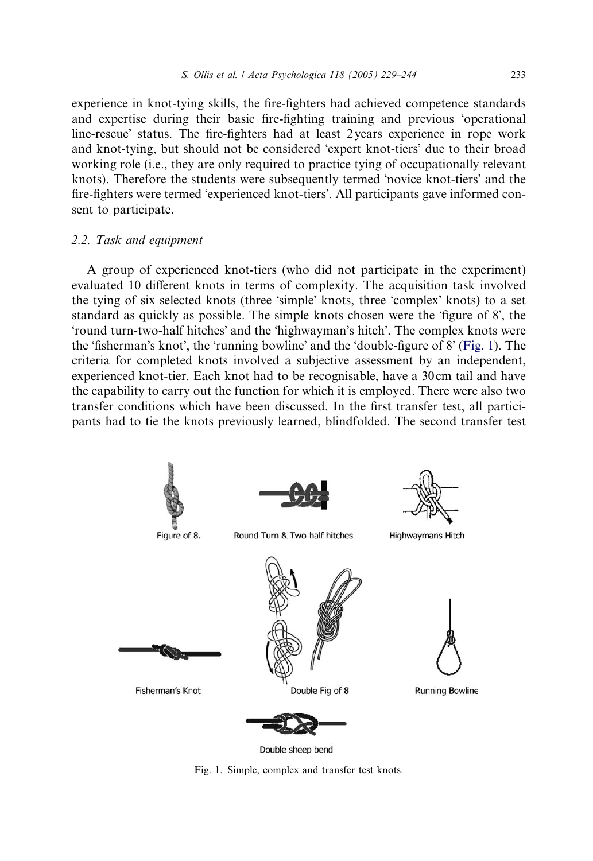experience in knot-tying skills, the fire-fighters had achieved competence standards and expertise during their basic fire-fighting training and previous 'operational line-rescue' status. The fire-fighters had at least 2 years experience in rope work and knot-tying, but should not be considered 'expert knot-tiers' due to their broad working role (i.e., they are only required to practice tying of occupationally relevant knots). Therefore the students were subsequently termed 'novice knot-tiers' and the fire-fighters were termed 'experienced knot-tiers'. All participants gave informed consent to participate.

#### 2.2. Task and equipment

A group of experienced knot-tiers (who did not participate in the experiment) evaluated 10 different knots in terms of complexity. The acquisition task involved the tying of six selected knots (three 'simple' knots, three 'complex' knots) to a set standard as quickly as possible. The simple knots chosen were the 'figure of 8', the 'round turn-two-half hitches' and the 'highwayman's hitch'. The complex knots were the 'fisherman's knot', the 'running bowline' and the 'double-figure of 8' (Fig. 1). The criteria for completed knots involved a subjective assessment by an independent, experienced knot-tier. Each knot had to be recognisable, have a 30 cm tail and have the capability to carry out the function for which it is employed. There were also two transfer conditions which have been discussed. In the first transfer test, all participants had to tie the knots previously learned, blindfolded. The second transfer test



Double sheep bend

Fig. 1. Simple, complex and transfer test knots.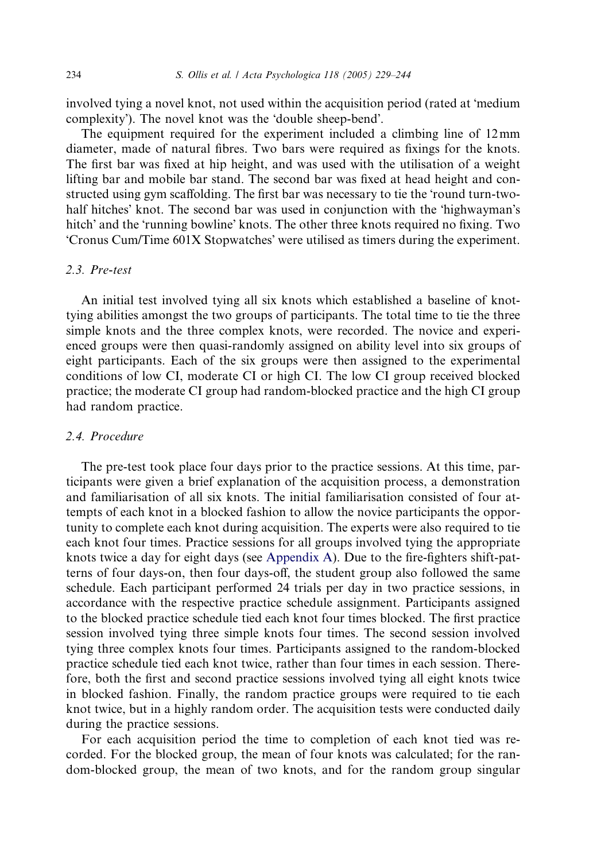involved tying a novel knot, not used within the acquisition period (rated at 'medium complexity'). The novel knot was the 'double sheep-bend'.

The equipment required for the experiment included a climbing line of 12mm diameter, made of natural fibres. Two bars were required as fixings for the knots. The first bar was fixed at hip height, and was used with the utilisation of a weight lifting bar and mobile bar stand. The second bar was fixed at head height and constructed using gym scaffolding. The first bar was necessary to tie the 'round turn-twohalf hitches' knot. The second bar was used in conjunction with the 'highwayman's hitch' and the 'running bowline' knots. The other three knots required no fixing. Two 'Cronus Cum/Time 601X Stopwatches' were utilised as timers during the experiment.

# 2.3. Pre-test

An initial test involved tying all six knots which established a baseline of knottying abilities amongst the two groups of participants. The total time to tie the three simple knots and the three complex knots, were recorded. The novice and experienced groups were then quasi-randomly assigned on ability level into six groups of eight participants. Each of the six groups were then assigned to the experimental conditions of low CI, moderate CI or high CI. The low CI group received blocked practice; the moderate CI group had random-blocked practice and the high CI group had random practice.

# 2.4. Procedure

The pre-test took place four days prior to the practice sessions. At this time, participants were given a brief explanation of the acquisition process, a demonstration and familiarisation of all six knots. The initial familiarisation consisted of four attempts of each knot in a blocked fashion to allow the novice participants the opportunity to complete each knot during acquisition. The experts were also required to tie each knot four times. Practice sessions for all groups involved tying the appropriate knots twice a day for eight days (see Appendix A). Due to the fire-fighters shift-patterns of four days-on, then four days-off, the student group also followed the same schedule. Each participant performed 24 trials per day in two practice sessions, in accordance with the respective practice schedule assignment. Participants assigned to the blocked practice schedule tied each knot four times blocked. The first practice session involved tying three simple knots four times. The second session involved tying three complex knots four times. Participants assigned to the random-blocked practice schedule tied each knot twice, rather than four times in each session. Therefore, both the first and second practice sessions involved tying all eight knots twice in blocked fashion. Finally, the random practice groups were required to tie each knot twice, but in a highly random order. The acquisition tests were conducted daily during the practice sessions.

For each acquisition period the time to completion of each knot tied was recorded. For the blocked group, the mean of four knots was calculated; for the random-blocked group, the mean of two knots, and for the random group singular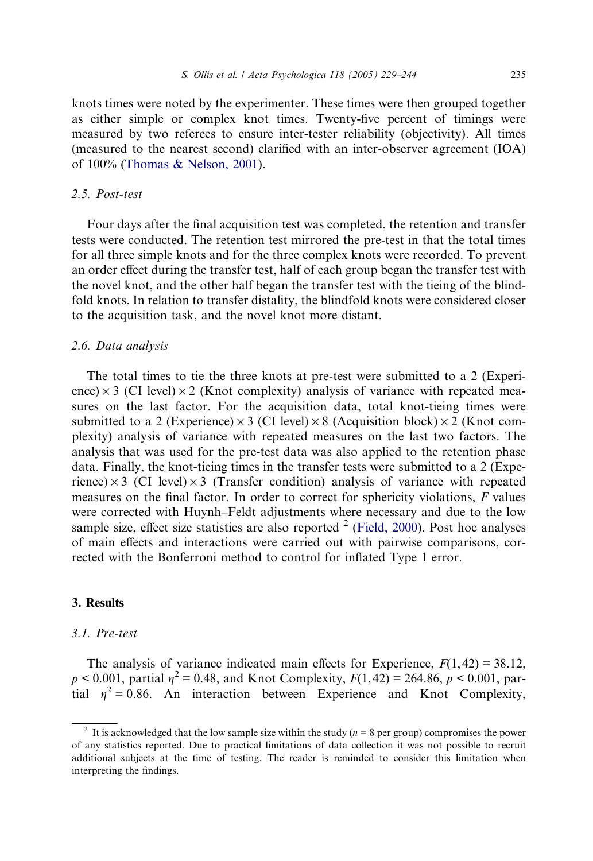knots times were noted by the experimenter. These times were then grouped together as either simple or complex knot times. Twenty-five percent of timings were measured by two referees to ensure inter-tester reliability (objectivity). All times (measured to the nearest second) clarified with an inter-observer agreement (IOA) of 100% ([Thomas & Nelson, 2001\)](#page-14-0).

# 2.5. Post-test

Four days after the final acquisition test was completed, the retention and transfer tests were conducted. The retention test mirrored the pre-test in that the total times for all three simple knots and for the three complex knots were recorded. To prevent an order effect during the transfer test, half of each group began the transfer test with the novel knot, and the other half began the transfer test with the tieing of the blindfold knots. In relation to transfer distality, the blindfold knots were considered closer to the acquisition task, and the novel knot more distant.

#### 2.6. Data analysis

The total times to tie the three knots at pre-test were submitted to a 2 (Experience)  $\times$  3 (CI level)  $\times$  2 (Knot complexity) analysis of variance with repeated measures on the last factor. For the acquisition data, total knot-tieing times were submitted to a 2 (Experience)  $\times$  3 (CI level)  $\times$  8 (Acquisition block)  $\times$  2 (Knot complexity) analysis of variance with repeated measures on the last two factors. The analysis that was used for the pre-test data was also applied to the retention phase data. Finally, the knot-tieing times in the transfer tests were submitted to a 2 (Experience)  $\times$  3 (CI level)  $\times$  3 (Transfer condition) analysis of variance with repeated measures on the final factor. In order to correct for sphericity violations, F values were corrected with Huynh–Feldt adjustments where necessary and due to the low sample size, effect size statistics are also reported  $2$  ([Field, 2000\)](#page-14-0). Post hoc analyses of main effects and interactions were carried out with pairwise comparisons, corrected with the Bonferroni method to control for inflated Type 1 error.

# 3. Results

#### 3.1. Pre-test

The analysis of variance indicated main effects for Experience,  $F(1, 42) = 38.12$ ,  $p < 0.001$ , partial  $\eta^2 = 0.48$ , and Knot Complexity,  $F(1, 42) = 264.86$ ,  $p < 0.001$ , partial  $n^2 = 0.86$ . An interaction between Experience and Knot Complexity,

<sup>&</sup>lt;sup>2</sup> It is acknowledged that the low sample size within the study ( $n = 8$  per group) compromises the power of any statistics reported. Due to practical limitations of data collection it was not possible to recruit additional subjects at the time of testing. The reader is reminded to consider this limitation when interpreting the findings.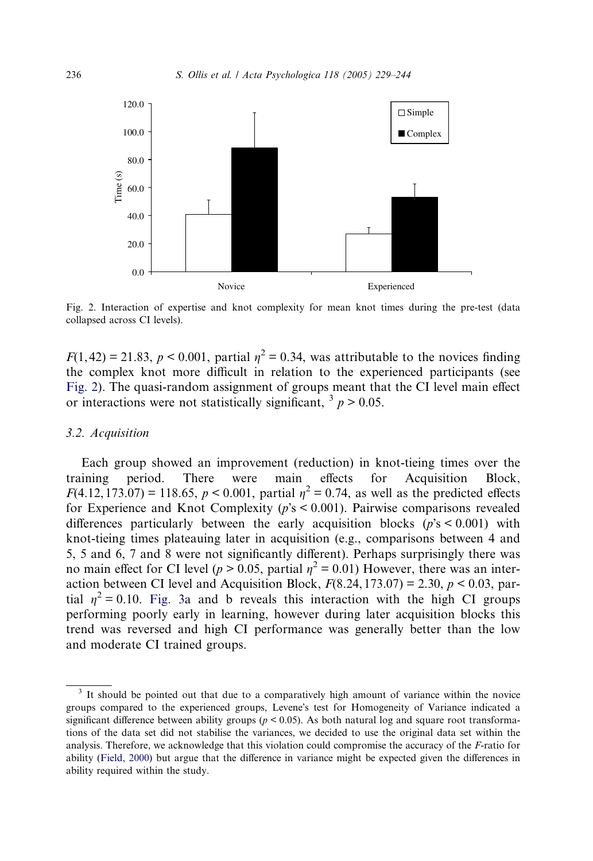

Fig. 2. Interaction of expertise and knot complexity for mean knot times during the pre-test (data collapsed across CI levels).

 $F(1, 42) = 21.83$ ,  $p < 0.001$ , partial  $p^2 = 0.34$ , was attributable to the novices finding the complex knot more difficult in relation to the experienced participants (see Fig. 2). The quasi-random assignment of groups meant that the CI level main effect or interactions were not statistically significant,  $\frac{3}{2} p > 0.05$ .

#### 3.2. Acquisition

Each group showed an improvement (reduction) in knot-tieing times over the training period. There were main effects for Acquisition Block,  $F(4.12, 173.07) = 118.65, p < 0.001$ , partial  $\eta^2 = 0.74$ , as well as the predicted effects for Experience and Knot Complexity ( $p$ 's < 0.001). Pairwise comparisons revealed differences particularly between the early acquisition blocks  $(p's < 0.001)$  with knot-tieing times plateauing later in acquisition (e.g., comparisons between 4 and 5, 5 and 6, 7 and 8 were not significantly different). Perhaps surprisingly there was no main effect for CI level ( $p > 0.05$ , partial  $\eta^2 = 0.01$ ) However, there was an interaction between CI level and Acquisition Block,  $F(8.24, 173.07) = 2.30, p < 0.03$ , partial  $\eta^2 = 0.10$ . [Fig. 3a](#page-8-0) and b reveals this interaction with the high CI groups performing poorly early in learning, however during later acquisition blocks this trend was reversed and high CI performance was generally better than the low and moderate CI trained groups.

<sup>&</sup>lt;sup>3</sup> It should be pointed out that due to a comparatively high amount of variance within the novice groups compared to the experienced groups, Levene's test for Homogeneity of Variance indicated a significant difference between ability groups ( $p < 0.05$ ). As both natural log and square root transformations of the data set did not stabilise the variances, we decided to use the original data set within the analysis. Therefore, we acknowledge that this violation could compromise the accuracy of the F-ratio for ability [\(Field, 2000\)](#page-14-0) but argue that the difference in variance might be expected given the differences in ability required within the study.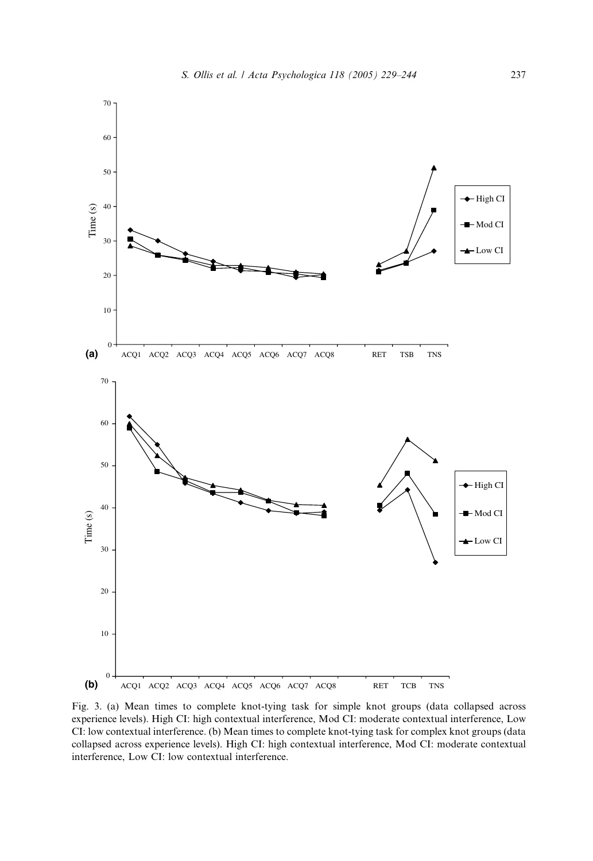<span id="page-8-0"></span>

Fig. 3. (a) Mean times to complete knot-tying task for simple knot groups (data collapsed across experience levels). High CI: high contextual interference, Mod CI: moderate contextual interference, Low CI: low contextual interference. (b) Mean times to complete knot-tying task for complex knot groups (data collapsed across experience levels). High CI: high contextual interference, Mod CI: moderate contextual interference, Low CI: low contextual interference.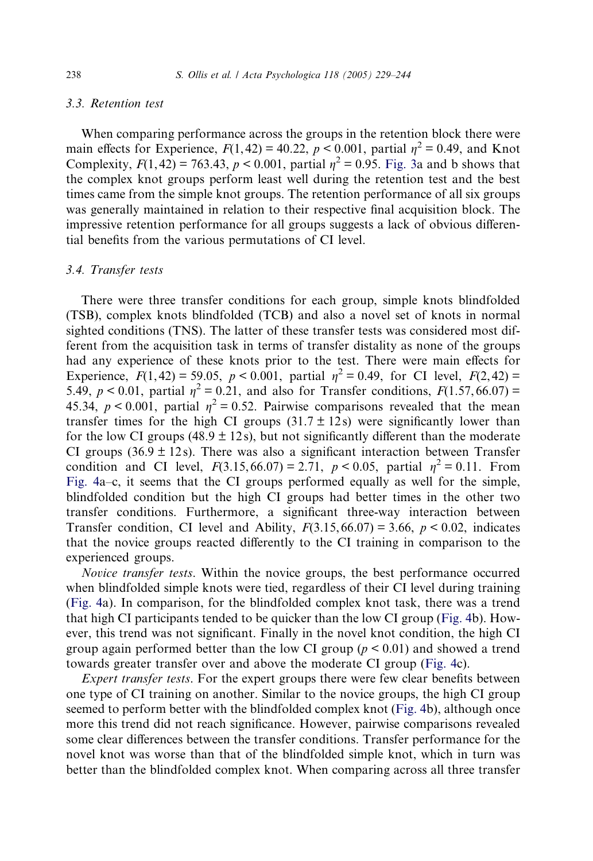# 3.3. Retention test

When comparing performance across the groups in the retention block there were main effects for Experience,  $F(1, 42) = 40.22$ ,  $p < 0.001$ , partial  $n^2 = 0.49$ , and Knot Complexity,  $F(1, 42) = 763.43$ ,  $p < 0.001$ , partial  $\eta^2 = 0.95$ . [Fig. 3](#page-8-0)a and b shows that the complex knot groups perform least well during the retention test and the best times came from the simple knot groups. The retention performance of all six groups was generally maintained in relation to their respective final acquisition block. The impressive retention performance for all groups suggests a lack of obvious differential benefits from the various permutations of CI level.

# 3.4. Transfer tests

There were three transfer conditions for each group, simple knots blindfolded (TSB), complex knots blindfolded (TCB) and also a novel set of knots in normal sighted conditions (TNS). The latter of these transfer tests was considered most different from the acquisition task in terms of transfer distality as none of the groups had any experience of these knots prior to the test. There were main effects for Experience,  $F(1, 42) = 59.05$ ,  $p < 0.001$ , partial  $\eta^2 = 0.49$ , for CI level,  $F(2, 42) =$ 5.49,  $p < 0.01$ , partial  $n^2 = 0.21$ , and also for Transfer conditions,  $F(1.57, 66.07) =$ 45.34,  $p < 0.001$ , partial  $\eta^2 = 0.52$ . Pairwise comparisons revealed that the mean transfer times for the high CI groups  $(31.7 \pm 12s)$  were significantly lower than for the low CI groups (48.9  $\pm$  12s), but not significantly different than the moderate CI groups (36.9  $\pm$  12s). There was also a significant interaction between Transfer condition and CI level,  $F(3.15, 66.07) = 2.71$ ,  $p < 0.05$ , partial  $\eta^2 = 0.11$ . From [Fig. 4a](#page-10-0)–c, it seems that the CI groups performed equally as well for the simple, blindfolded condition but the high CI groups had better times in the other two transfer conditions. Furthermore, a significant three-way interaction between Transfer condition, CI level and Ability,  $F(3.15, 66.07) = 3.66$ ,  $p < 0.02$ , indicates that the novice groups reacted differently to the CI training in comparison to the experienced groups.

Novice transfer tests. Within the novice groups, the best performance occurred when blindfolded simple knots were tied, regardless of their CI level during training ([Fig. 4](#page-10-0)a). In comparison, for the blindfolded complex knot task, there was a trend that high CI participants tended to be quicker than the low CI group [\(Fig. 4b](#page-10-0)). However, this trend was not significant. Finally in the novel knot condition, the high CI group again performed better than the low CI group  $(p < 0.01)$  and showed a trend towards greater transfer over and above the moderate CI group ([Fig. 4c](#page-10-0)).

Expert transfer tests. For the expert groups there were few clear benefits between one type of CI training on another. Similar to the novice groups, the high CI group seemed to perform better with the blindfolded complex knot [\(Fig. 4b](#page-10-0)), although once more this trend did not reach significance. However, pairwise comparisons revealed some clear differences between the transfer conditions. Transfer performance for the novel knot was worse than that of the blindfolded simple knot, which in turn was better than the blindfolded complex knot. When comparing across all three transfer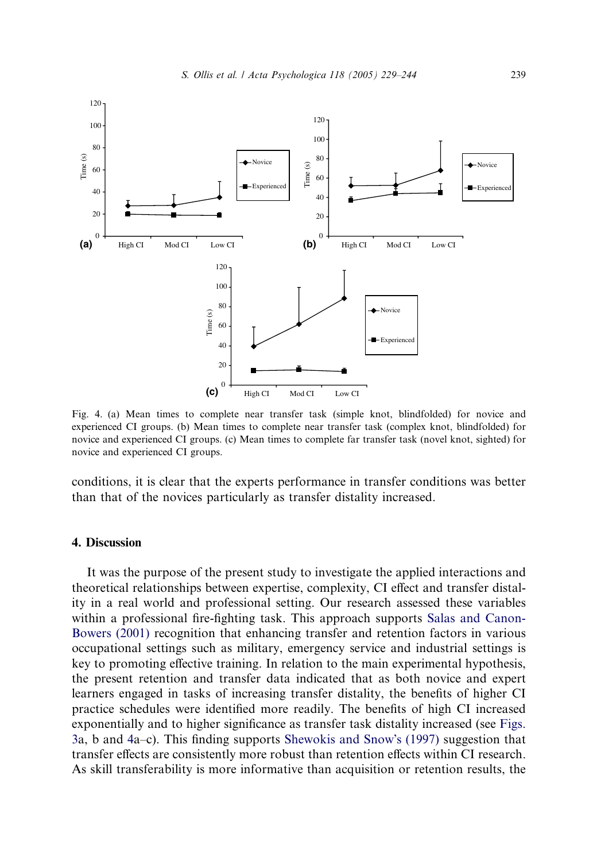<span id="page-10-0"></span>

Fig. 4. (a) Mean times to complete near transfer task (simple knot, blindfolded) for novice and experienced CI groups. (b) Mean times to complete near transfer task (complex knot, blindfolded) for novice and experienced CI groups. (c) Mean times to complete far transfer task (novel knot, sighted) for novice and experienced CI groups.

conditions, it is clear that the experts performance in transfer conditions was better than that of the novices particularly as transfer distality increased.

# 4. Discussion

It was the purpose of the present study to investigate the applied interactions and theoretical relationships between expertise, complexity, CI effect and transfer distality in a real world and professional setting. Our research assessed these variables within a professional fire-fighting task. This approach supports [Salas and Canon-](#page-14-0)[Bowers \(2001\)](#page-14-0) recognition that enhancing transfer and retention factors in various occupational settings such as military, emergency service and industrial settings is key to promoting effective training. In relation to the main experimental hypothesis, the present retention and transfer data indicated that as both novice and expert learners engaged in tasks of increasing transfer distality, the benefits of higher CI practice schedules were identified more readily. The benefits of high CI increased exponentially and to higher significance as transfer task distality increased (see [Figs.](#page-8-0) [3a](#page-8-0), b and 4a–c). This finding supports [Shewokis and Snow](#page-14-0)'s (1997) suggestion that transfer effects are consistently more robust than retention effects within CI research. As skill transferability is more informative than acquisition or retention results, the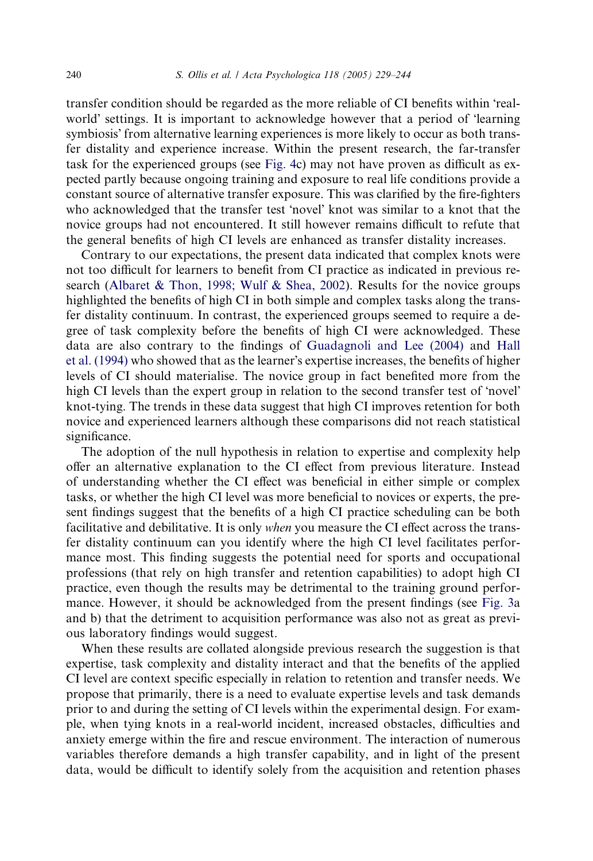transfer condition should be regarded as the more reliable of CI benefits within realworld' settings. It is important to acknowledge however that a period of 'learning symbiosis' from alternative learning experiences is more likely to occur as both transfer distality and experience increase. Within the present research, the far-transfer task for the experienced groups (see [Fig. 4](#page-10-0)c) may not have proven as difficult as expected partly because ongoing training and exposure to real life conditions provide a constant source of alternative transfer exposure. This was clarified by the fire-fighters who acknowledged that the transfer test 'novel' knot was similar to a knot that the novice groups had not encountered. It still however remains difficult to refute that the general benefits of high CI levels are enhanced as transfer distality increases.

Contrary to our expectations, the present data indicated that complex knots were not too difficult for learners to benefit from CI practice as indicated in previous research [\(Albaret & Thon, 1998; Wulf & Shea, 2002\)](#page-13-0). Results for the novice groups highlighted the benefits of high CI in both simple and complex tasks along the transfer distality continuum. In contrast, the experienced groups seemed to require a degree of task complexity before the benefits of high CI were acknowledged. These data are also contrary to the findings of [Guadagnoli and Lee \(2004\)](#page-14-0) and [Hall](#page-14-0) [et al. \(1994\)](#page-14-0) who showed that as the learner's expertise increases, the benefits of higher levels of CI should materialise. The novice group in fact benefited more from the high CI levels than the expert group in relation to the second transfer test of 'novel' knot-tying. The trends in these data suggest that high CI improves retention for both novice and experienced learners although these comparisons did not reach statistical significance.

The adoption of the null hypothesis in relation to expertise and complexity help offer an alternative explanation to the CI effect from previous literature. Instead of understanding whether the CI effect was beneficial in either simple or complex tasks, or whether the high CI level was more beneficial to novices or experts, the present findings suggest that the benefits of a high CI practice scheduling can be both facilitative and debilitative. It is only when you measure the CI effect across the transfer distality continuum can you identify where the high CI level facilitates performance most. This finding suggests the potential need for sports and occupational professions (that rely on high transfer and retention capabilities) to adopt high CI practice, even though the results may be detrimental to the training ground performance. However, it should be acknowledged from the present findings (see [Fig. 3a](#page-8-0) and b) that the detriment to acquisition performance was also not as great as previous laboratory findings would suggest.

When these results are collated alongside previous research the suggestion is that expertise, task complexity and distality interact and that the benefits of the applied CI level are context specific especially in relation to retention and transfer needs. We propose that primarily, there is a need to evaluate expertise levels and task demands prior to and during the setting of CI levels within the experimental design. For example, when tying knots in a real-world incident, increased obstacles, difficulties and anxiety emerge within the fire and rescue environment. The interaction of numerous variables therefore demands a high transfer capability, and in light of the present data, would be difficult to identify solely from the acquisition and retention phases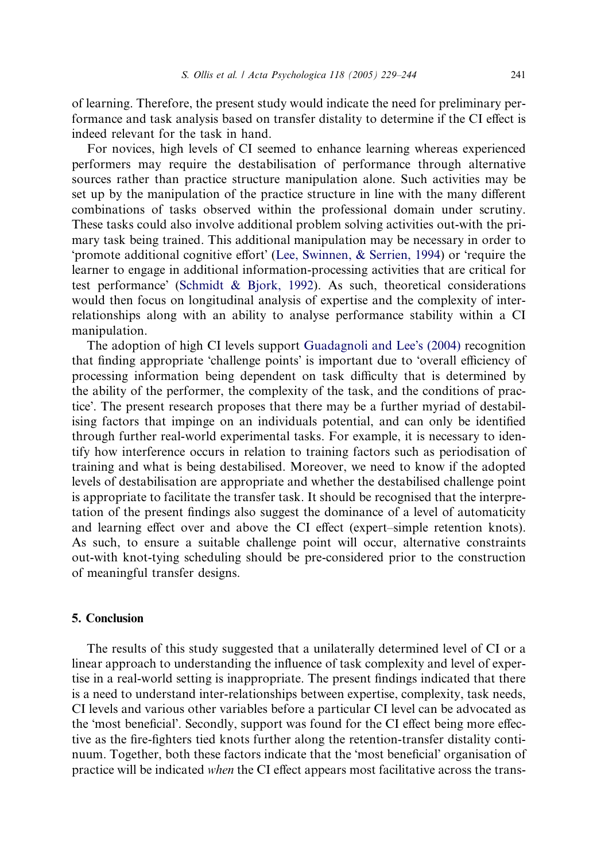of learning. Therefore, the present study would indicate the need for preliminary performance and task analysis based on transfer distality to determine if the CI effect is indeed relevant for the task in hand.

For novices, high levels of CI seemed to enhance learning whereas experienced performers may require the destabilisation of performance through alternative sources rather than practice structure manipulation alone. Such activities may be set up by the manipulation of the practice structure in line with the many different combinations of tasks observed within the professional domain under scrutiny. These tasks could also involve additional problem solving activities out-with the primary task being trained. This additional manipulation may be necessary in order to 'promote additional cognitive effort' (Lee, Swinnen,  $\&$  Serrien, 1994) or 'require the learner to engage in additional information-processing activities that are critical for test performance' ([Schmidt & Bjork, 1992\)](#page-14-0). As such, theoretical considerations would then focus on longitudinal analysis of expertise and the complexity of interrelationships along with an ability to analyse performance stability within a CI manipulation.

The adoption of high CI levels support [Guadagnoli and Lee](#page-14-0)'s (2004) recognition that finding appropriate 'challenge points' is important due to 'overall efficiency of processing information being dependent on task difficulty that is determined by the ability of the performer, the complexity of the task, and the conditions of practice'. The present research proposes that there may be a further myriad of destabilising factors that impinge on an individuals potential, and can only be identified through further real-world experimental tasks. For example, it is necessary to identify how interference occurs in relation to training factors such as periodisation of training and what is being destabilised. Moreover, we need to know if the adopted levels of destabilisation are appropriate and whether the destabilised challenge point is appropriate to facilitate the transfer task. It should be recognised that the interpretation of the present findings also suggest the dominance of a level of automaticity and learning effect over and above the CI effect (expert–simple retention knots). As such, to ensure a suitable challenge point will occur, alternative constraints out-with knot-tying scheduling should be pre-considered prior to the construction of meaningful transfer designs.

# 5. Conclusion

The results of this study suggested that a unilaterally determined level of CI or a linear approach to understanding the influence of task complexity and level of expertise in a real-world setting is inappropriate. The present findings indicated that there is a need to understand inter-relationships between expertise, complexity, task needs, CI levels and various other variables before a particular CI level can be advocated as the 'most beneficial'. Secondly, support was found for the CI effect being more effective as the fire-fighters tied knots further along the retention-transfer distality continuum. Together, both these factors indicate that the 'most beneficial' organisation of practice will be indicated when the CI effect appears most facilitative across the trans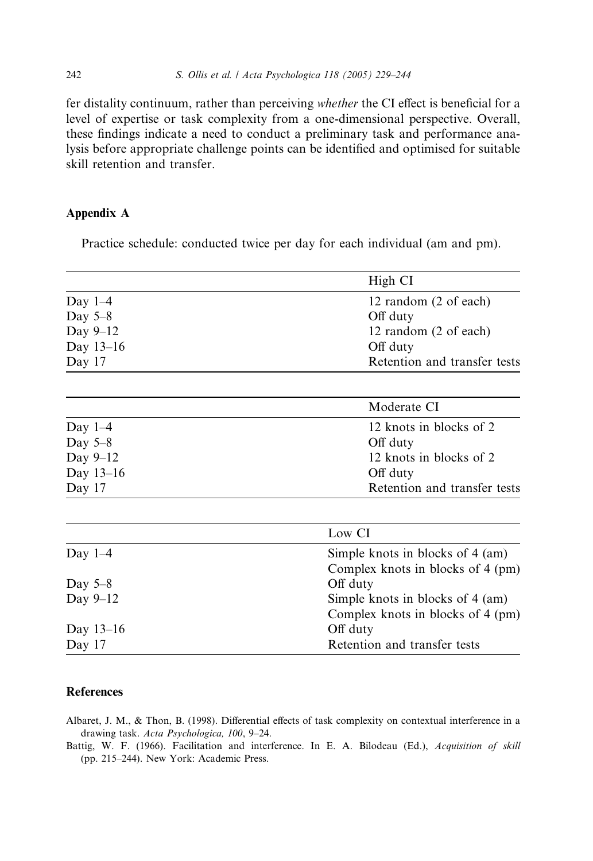fer distality continuum, rather than perceiving whether the CI effect is beneficial for a level of expertise or task complexity from a one-dimensional perspective. Overall, these findings indicate a need to conduct a preliminary task and performance analysis before appropriate challenge points can be identified and optimised for suitable skill retention and transfer.

# Appendix A

Practice schedule: conducted twice per day for each individual (am and pm).

|             | High CI                                                               |
|-------------|-----------------------------------------------------------------------|
| Day $1-4$   | 12 random (2 of each)                                                 |
| Day $5-8$   | Off duty                                                              |
| Day 9-12    | 12 random (2 of each)                                                 |
| Day 13-16   | Off duty                                                              |
| Day 17      | Retention and transfer tests                                          |
|             | Moderate CI                                                           |
| Day $1-4$   | 12 knots in blocks of 2                                               |
| Day $5-8$   | Off duty                                                              |
| Day 9-12    | 12 knots in blocks of 2                                               |
| Day 13-16   | Off duty                                                              |
| Day 17      | Retention and transfer tests                                          |
|             | Low CI                                                                |
| Day $1-4$   | Simple knots in blocks of 4 (am)<br>Complex knots in blocks of 4 (pm) |
| Day $5-8$   | Off duty                                                              |
| Day $9-12$  | Simple knots in blocks of 4 (am)                                      |
|             | Complex knots in blocks of 4 (pm)                                     |
| Day $13-16$ | Off duty                                                              |
| Day 17      | Retention and transfer tests                                          |

# **References**

Albaret, J. M., & Thon, B. (1998). Differential effects of task complexity on contextual interference in a drawing task. Acta Psychologica, 100, 9–24.

Battig, W. F. (1966). Facilitation and interference. In E. A. Bilodeau (Ed.), Acquisition of skill (pp. 215–244). New York: Academic Press.

<span id="page-13-0"></span>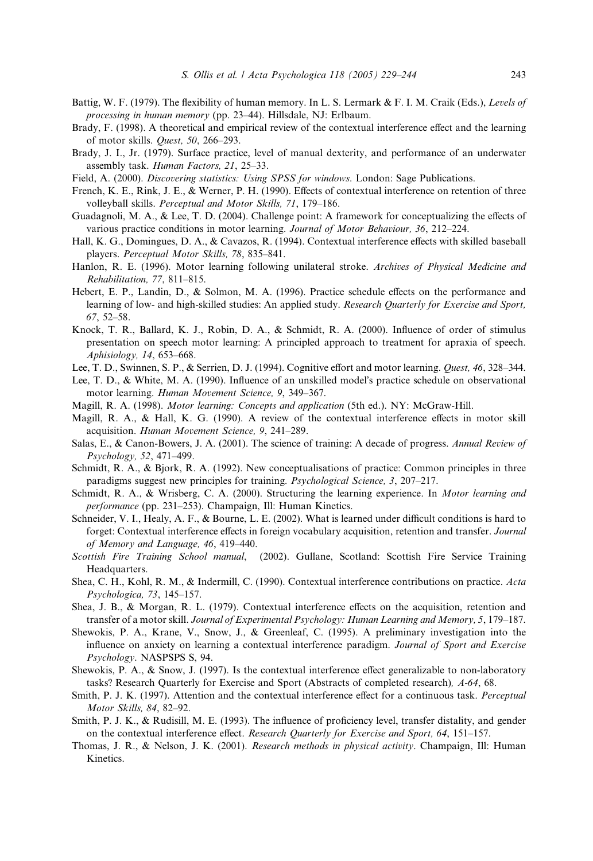- <span id="page-14-0"></span>Battig, W. F. (1979). The flexibility of human memory. In L. S. Lermark & F. I. M. Craik (Eds.), Levels of processing in human memory (pp. 23–44). Hillsdale, NJ: Erlbaum.
- Brady, F. (1998). A theoretical and empirical review of the contextual interference effect and the learning of motor skills. Quest, 50, 266–293.
- Brady, J. I., Jr. (1979). Surface practice, level of manual dexterity, and performance of an underwater assembly task. Human Factors, 21, 25-33.
- Field, A. (2000). Discovering statistics: Using SPSS for windows. London: Sage Publications.
- French, K. E., Rink, J. E., & Werner, P. H. (1990). Effects of contextual interference on retention of three volleyball skills. Perceptual and Motor Skills, 71, 179–186.
- Guadagnoli, M. A., & Lee, T. D. (2004). Challenge point: A framework for conceptualizing the effects of various practice conditions in motor learning. Journal of Motor Behaviour, 36, 212–224.
- Hall, K. G., Domingues, D. A., & Cavazos, R. (1994). Contextual interference effects with skilled baseball players. Perceptual Motor Skills, 78, 835–841.
- Hanlon, R. E. (1996). Motor learning following unilateral stroke. Archives of Physical Medicine and Rehabilitation, 77, 811–815.
- Hebert, E. P., Landin, D., & Solmon, M. A. (1996). Practice schedule effects on the performance and learning of low- and high-skilled studies: An applied study. Research Quarterly for Exercise and Sport, 67, 52–58.
- Knock, T. R., Ballard, K. J., Robin, D. A., & Schmidt, R. A. (2000). Influence of order of stimulus presentation on speech motor learning: A principled approach to treatment for apraxia of speech. Aphisiology, 14, 653–668.
- Lee, T. D., Swinnen, S. P., & Serrien, D. J. (1994). Cognitive effort and motor learning. Quest, 46, 328–344.
- Lee, T. D., & White, M. A. (1990). Influence of an unskilled model's practice schedule on observational motor learning. Human Movement Science, 9, 349–367.
- Magill, R. A. (1998). Motor learning: Concepts and application (5th ed.). NY: McGraw-Hill.
- Magill, R. A., & Hall, K. G. (1990). A review of the contextual interference effects in motor skill acquisition. Human Movement Science, 9, 241–289.
- Salas, E., & Canon-Bowers, J. A. (2001). The science of training: A decade of progress. Annual Review of Psychology, 52, 471–499.
- Schmidt, R. A., & Bjork, R. A. (1992). New conceptualisations of practice: Common principles in three paradigms suggest new principles for training. Psychological Science, 3, 207-217.
- Schmidt, R. A., & Wrisberg, C. A. (2000). Structuring the learning experience. In Motor learning and performance (pp. 231–253). Champaign, Ill: Human Kinetics.
- Schneider, V. I., Healy, A. F., & Bourne, L. E. (2002). What is learned under difficult conditions is hard to forget: Contextual interference effects in foreign vocabulary acquisition, retention and transfer. Journal of Memory and Language, 46, 419–440.
- Scottish Fire Training School manual, (2002). Gullane, Scotland: Scottish Fire Service Training Headquarters.
- Shea, C. H., Kohl, R. M., & Indermill, C. (1990). Contextual interference contributions on practice. Acta Psychologica, 73, 145–157.
- Shea, J. B., & Morgan, R. L. (1979). Contextual interference effects on the acquisition, retention and transfer of a motor skill. Journal of Experimental Psychology: Human Learning and Memory, 5, 179–187.
- Shewokis, P. A., Krane, V., Snow, J., & Greenleaf, C. (1995). A preliminary investigation into the influence on anxiety on learning a contextual interference paradigm. Journal of Sport and Exercise Psychology. NASPSPS S, 94.
- Shewokis, P. A., & Snow, J. (1997). Is the contextual interference effect generalizable to non-laboratory tasks? Research Quarterly for Exercise and Sport (Abstracts of completed research), A-64, 68.
- Smith, P. J. K. (1997). Attention and the contextual interference effect for a continuous task. Perceptual Motor Skills, 84, 82–92.
- Smith, P. J. K., & Rudisill, M. E. (1993). The influence of proficiency level, transfer distality, and gender on the contextual interference effect. Research Quarterly for Exercise and Sport, 64, 151–157.
- Thomas, J. R., & Nelson, J. K. (2001). Research methods in physical activity. Champaign, Ill: Human Kinetics.